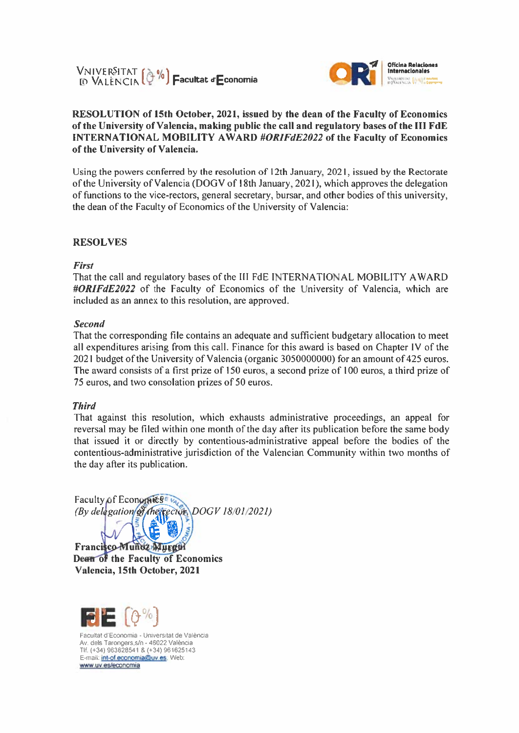



### RESOLUTION of 15th October, 2021, issued by the dean of the Faculty of Economics of the University of Valencia, making public the call and regulatory bases of the III FdE **INTERNATIONAL MOBILITY AWARD #ORIFdE2022 of the Faculty of Economics** of the University of Valencia.

Using the powers conferred by the resolution of 12th January, 2021, issued by the Rectorate of the University of Valencia (DOGV of 18th January, 2021), which approves the delegation of functions to the vice-rectors, general secretary, bursar, and other bodies of this university, the dean of the Faculty of Economics of the University of Valencia:

#### **RESOLVES**

First

That the call and regulatory bases of the III FdE INTERNATIONAL MOBILITY AWARD #ORIFdE2022 of the Faculty of Economics of the University of Valencia, which are included as an annex to this resolution, are approved.

#### **Second**

That the corresponding file contains an adequate and sufficient budgetary allocation to meet all expenditures arising from this call. Finance for this award is based on Chapter IV of the 2021 budget of the University of Valencia (organic 3050000000) for an amount of 425 euros. The award consists of a first prize of 150 euros, a second prize of 100 euros, a third prize of 75 euros, and two consolation prizes of 50 euros.

#### **Third**

That against this resolution, which exhausts administrative proceedings, an appeal for reversal may be filed within one month of the day after its publication before the same body that issued it or directly by contentious-administrative appeal before the bodies of the contentious-administrative jurisdiction of the Valencian Community within two months of the day after its publication.

Faculty of Economics<sup>e</sup> (By delegation of the rector DOGV 18/01/2021)

Francisco-Munoz Murgin Dean of the Faculty of Economics Valencia, 15th October, 2021

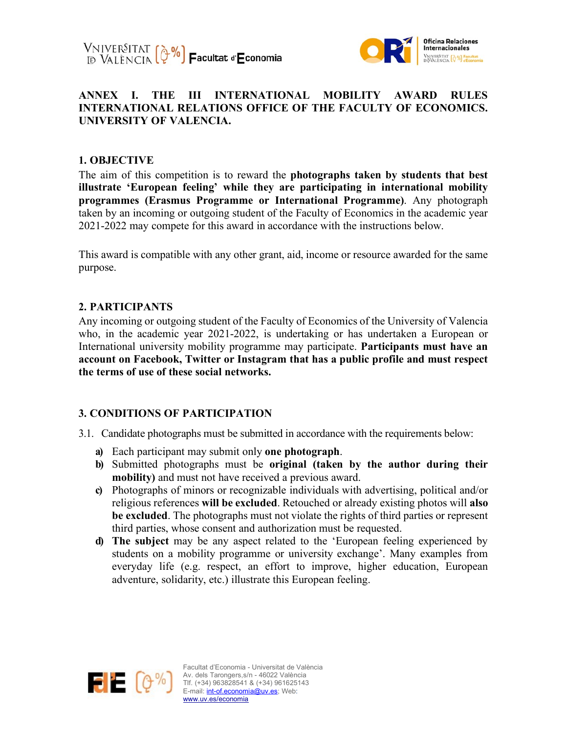



### **ANNEX I. THE III INTERNATIONAL MOBILITY AWARD RULES INTERNATIONAL RELATIONS OFFICE OF THE FACULTY OF ECONOMICS. UNIVERSITY OF VALENCIA.**

### **1. OBJECTIVE**

The aim of this competition is to reward the **photographs taken by students that best illustrate 'European feeling' while they are participating in international mobility programmes (Erasmus Programme or International Programme)**. Any photograph taken by an incoming or outgoing student of the Faculty of Economics in the academic year 2021-2022 may compete for this award in accordance with the instructions below.

This award is compatible with any other grant, aid, income or resource awarded for the same purpose.

### **2. PARTICIPANTS**

Any incoming or outgoing student of the Faculty of Economics of the University of Valencia who, in the academic year 2021-2022, is undertaking or has undertaken a European or International university mobility programme may participate. **Participants must have an account on Facebook, Twitter or Instagram that has a public profile and must respect the terms of use of these social networks.** 

### **3. CONDITIONS OF PARTICIPATION**

- 3.1. Candidate photographs must be submitted in accordance with the requirements below:
	- **a)** Each participant may submit only **one photograph**.
	- **b)** Submitted photographs must be **original (taken by the author during their mobility)** and must not have received a previous award.
	- **c)** Photographs of minors or recognizable individuals with advertising, political and/or religious references **will be excluded**. Retouched or already existing photos will **also be excluded**. The photographs must not violate the rights of third parties or represent third parties, whose consent and authorization must be requested.
	- **d) The subject** may be any aspect related to the 'European feeling experienced by students on a mobility programme or university exchange'. Many examples from everyday life (e.g. respect, an effort to improve, higher education, European adventure, solidarity, etc.) illustrate this European feeling.

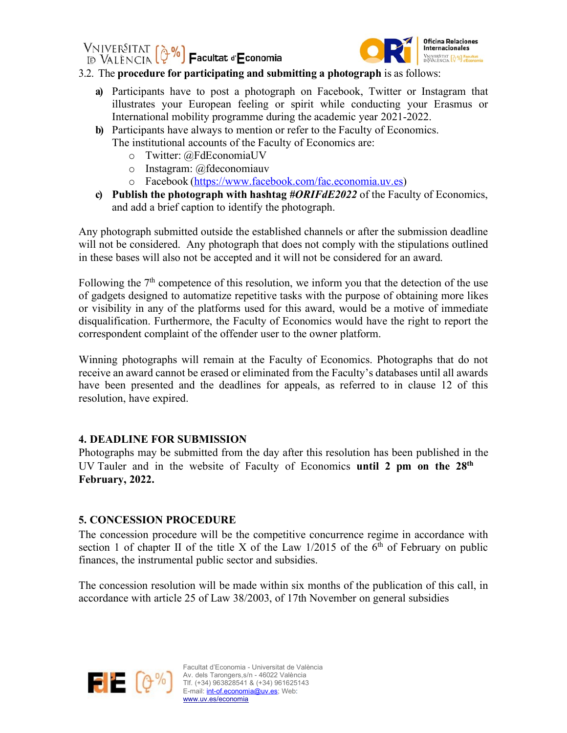VNIVER<sup>S</sup>ITAT (��%)<br>D València (��%) **F**acultat d'**E**conomia



### 3.2. The **procedure for participating and submitting a photograph** is as follows:

- **a)** Participants have to post a photograph on Facebook, Twitter or Instagram that illustrates your European feeling or spirit while conducting your Erasmus or International mobility programme during the academic year 2021-2022.
- **b)** Participants have always to mention or refer to the Faculty of Economics. The institutional accounts of the Faculty of Economics are:
	- o Twitter: @FdEconomiaUV
	- o Instagram: @fdeconomiauv
	- o Facebook (https://www.facebook.com/fac.economia.uv.es)
- **c) Publish the photograph with hashtag** *#ORIFdE2022* of the Faculty of Economics, and add a brief caption to identify the photograph.

Any photograph submitted outside the established channels or after the submission deadline will not be considered. Any photograph that does not comply with the stipulations outlined in these bases will also not be accepted and it will not be considered for an award.

Following the  $7<sup>th</sup>$  competence of this resolution, we inform you that the detection of the use of gadgets designed to automatize repetitive tasks with the purpose of obtaining more likes or visibility in any of the platforms used for this award, would be a motive of immediate disqualification. Furthermore, the Faculty of Economics would have the right to report the correspondent complaint of the offender user to the owner platform.

Winning photographs will remain at the Faculty of Economics. Photographs that do not receive an award cannot be erased or eliminated from the Faculty's databases until all awards have been presented and the deadlines for appeals, as referred to in clause 12 of this resolution, have expired.

# **4. DEADLINE FOR SUBMISSION**

Photographs may be submitted from the day after this resolution has been published in the UV Tauler and in the website of Faculty of Economics **until 2 pm on the 28th February, 2022.**

# **5. CONCESSION PROCEDURE**

The concession procedure will be the competitive concurrence regime in accordance with section 1 of chapter II of the title X of the Law  $1/2015$  of the 6<sup>th</sup> of February on public finances, the instrumental public sector and subsidies.

The concession resolution will be made within six months of the publication of this call, in accordance with article 25 of Law 38/2003, of 17th November on general subsidies

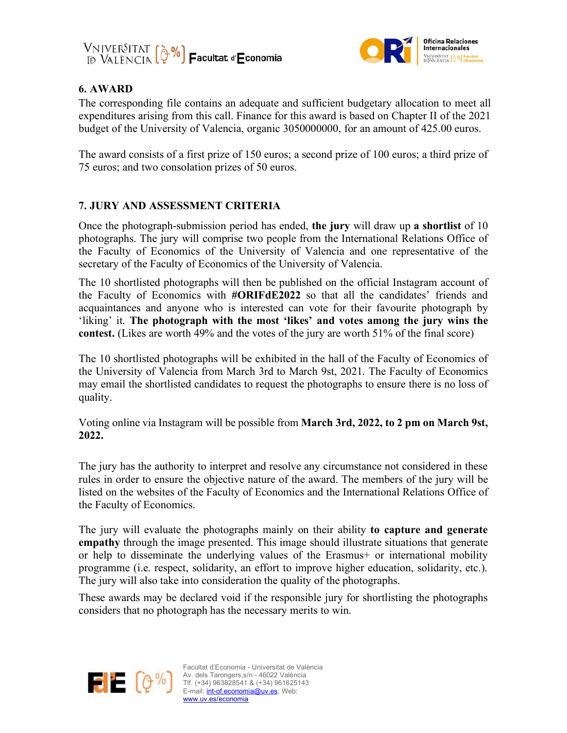



### **6. AWARD**

The corresponding file contains an adequate and sufficient budgetary allocation to meet all expenditures arising from this call. Finance for this award is based on Chapter II of the 2021 budget of the University of Valencia, organic 3050000000, for an amount of 425.00 euros.

The award consists of a first prize of 150 euros; a second prize of 100 euros; a third prize of 75 euros; and two consolation prizes of 50 euros.

# **7. JURY AND ASSESSMENT CRITERIA**

Once the photograph-submission period has ended, **the jury** will draw up **a shortlist** of 10 photographs. The jury will comprise two people from the International Relations Office of the Faculty of Economics of the University of Valencia and one representative of the secretary of the Faculty of Economics of the University of Valencia.

The 10 shortlisted photographs will then be published on the official Instagram account of the Faculty of Economics with **#ORIFdE2022** so that all the candidates' friends and acquaintances and anyone who is interested can vote for their favourite photograph by 'liking' it. **The photograph with the most 'likes' and votes among the jury wins the contest.** (Likes are worth 49% and the votes of the jury are worth 51% of the final score)

The 10 shortlisted photographs will be exhibited in the hall of the Faculty of Economics of the University of Valencia from March 3rd to March 9st, 2021. The Faculty of Economics may email the shortlisted candidates to request the photographs to ensure there is no loss of quality.

Voting online via Instagram will be possible from **March 3rd, 2022, to 2 pm on March 9st, 2022.** 

The jury has the authority to interpret and resolve any circumstance not considered in these rules in order to ensure the objective nature of the award. The members of the jury will be listed on the websites of the Faculty of Economics and the International Relations Office of the Faculty of Economics.

The jury will evaluate the photographs mainly on their ability **to capture and generate empathy** through the image presented. This image should illustrate situations that generate or help to disseminate the underlying values of the Erasmus+ or international mobility programme (i.e. respect, solidarity, an effort to improve higher education, solidarity, etc.). The jury will also take into consideration the quality of the photographs.

These awards may be declared void if the responsible jury for shortlisting the photographs considers that no photograph has the necessary merits to win.



Facultat d'Economia - Universitat de València Av. dels Tarongers,s/n - 46022 València<br>Av. dels Tarongers,s/n - 46022 València<br>Tif (+24) 0000005 : : : : Tlf. (+34) 963828541 & (+34) 961625143 E-mail: *int-of.economia@uv.es*; Web: www.uv.es/economia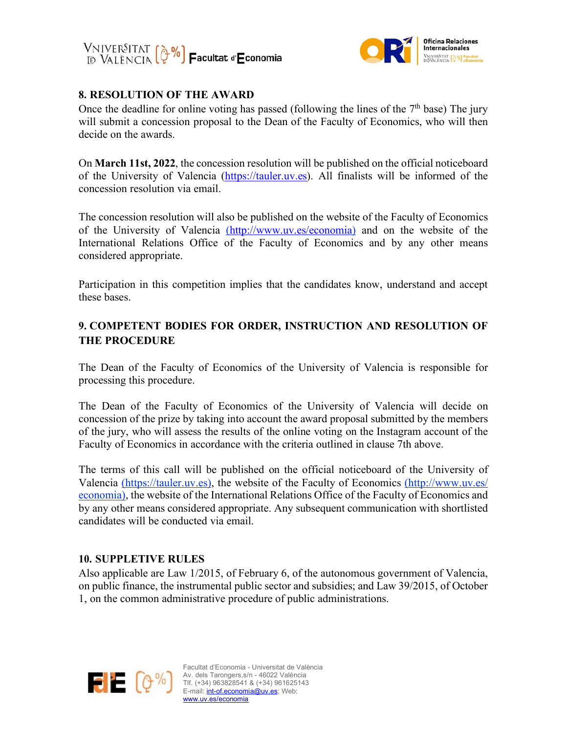



### **8. RESOLUTION OF THE AWARD**

Once the deadline for online voting has passed (following the lines of the  $7<sup>th</sup>$  base) The jury will submit a concession proposal to the Dean of the Faculty of Economics, who will then decide on the awards.

On **March 11st, 2022**, the concession resolution will be published on the official noticeboard of the University of Valencia (https://tauler.uv.es). All finalists will be informed of the concession resolution via email.

The concession resolution will also be published on the website of the Faculty of Economics of the University of Valencia (http://www.uv.es/economia) and on the website of the International Relations Office of the Faculty of Economics and by any other means considered appropriate.

Participation in this competition implies that the candidates know, understand and accept these bases.

# **9. COMPETENT BODIES FOR ORDER, INSTRUCTION AND RESOLUTION OF THE PROCEDURE**

The Dean of the Faculty of Economics of the University of Valencia is responsible for processing this procedure.

The Dean of the Faculty of Economics of the University of Valencia will decide on concession of the prize by taking into account the award proposal submitted by the members of the jury, who will assess the results of the online voting on the Instagram account of the Faculty of Economics in accordance with the criteria outlined in clause 7th above.

The terms of this call will be published on the official noticeboard of the University of Valencia (https://tauler.uv.es), the website of the Faculty of Economics (http://www.uv.es/ economia), the website of the International Relations Office of the Faculty of Economics and by any other means considered appropriate. Any subsequent communication with shortlisted candidates will be conducted via email.

### **10. SUPPLETIVE RULES**

Also applicable are Law 1/2015, of February 6, of the autonomous government of Valencia, on public finance, the instrumental public sector and subsidies; and Law 39/2015, of October 1, on the common administrative procedure of public administrations.

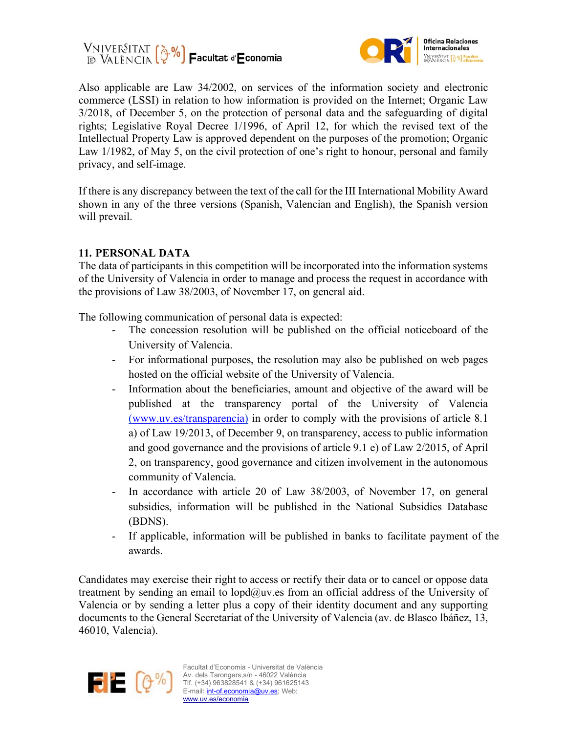



Also applicable are Law 34/2002, on services of the information society and electronic commerce (LSSI) in relation to how information is provided on the Internet; Organic Law 3/2018, of December 5, on the protection of personal data and the safeguarding of digital rights; Legislative Royal Decree 1/1996, of April 12, for which the revised text of the Intellectual Property Law is approved dependent on the purposes of the promotion; Organic Law 1/1982, of May 5, on the civil protection of one's right to honour, personal and family privacy, and self-image.

If there is any discrepancy between the text of the call for the III International Mobility Award shown in any of the three versions (Spanish, Valencian and English), the Spanish version will prevail.

### **11. PERSONAL DATA**

The data of participants in this competition will be incorporated into the information systems of the University of Valencia in order to manage and process the request in accordance with the provisions of Law 38/2003, of November 17, on general aid.

The following communication of personal data is expected:

- The concession resolution will be published on the official noticeboard of the University of Valencia.
- For informational purposes, the resolution may also be published on web pages hosted on the official website of the University of Valencia.
- Information about the beneficiaries, amount and objective of the award will be published at the transparency portal of the University of Valencia (www.uv.es/transparencia) in order to comply with the provisions of article 8.1 a) of Law 19/2013, of December 9, on transparency, access to public information and good governance and the provisions of article 9.1 e) of Law 2/2015, of April 2, on transparency, good governance and citizen involvement in the autonomous community of Valencia.
- In accordance with article 20 of Law 38/2003, of November 17, on general subsidies, information will be published in the National Subsidies Database (BDNS).
- If applicable, information will be published in banks to facilitate payment of the awards.

Candidates may exercise their right to access or rectify their data or to cancel or oppose data treatment by sending an email to lopd@uv.es from an official address of the University of Valencia or by sending a letter plus a copy of their identity document and any supporting documents to the General Secretariat of the University of Valencia (av. de Blasco lbáñez, 13, 46010, Valencia).

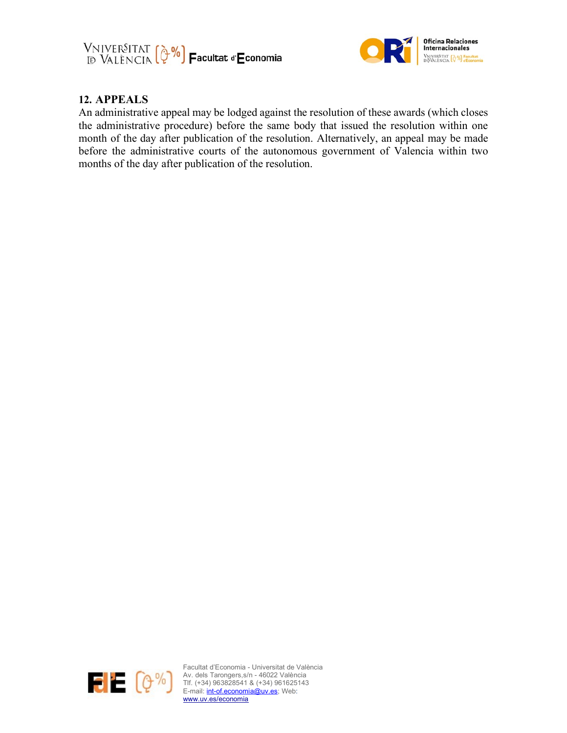



### **12. APPEALS**

An administrative appeal may be lodged against the resolution of these awards (which closes the administrative procedure) before the same body that issued the resolution within one month of the day after publication of the resolution. Alternatively, an appeal may be made before the administrative courts of the autonomous government of Valencia within two months of the day after publication of the resolution.